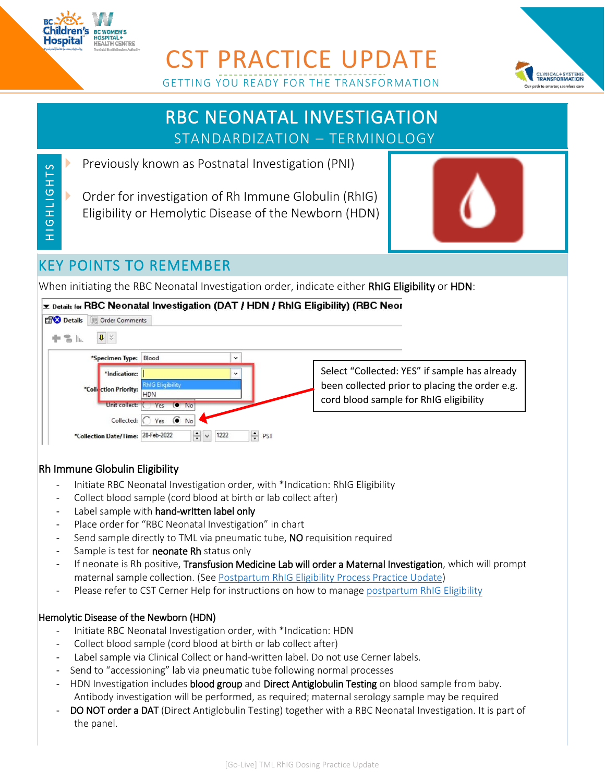

H IG HLIGHTS

HIGHLIGHTS

## CST PRACTICE UPDATE GETTING YOU READY FOR THE TRANSFORMATION



# RBC NEONATAL INVESTIGATION STANDARDIZATION – TERMINOLOGY

Previously known as Postnatal Investigation (PNI)

 Order for investigation of Rh Immune Globulin (RhIG) Eligibility or Hemolytic Disease of the Newborn (HDN)



### KEY POINTS TO REMEMBER

When initiating the RBC Neonatal Investigation order, indicate either RhIG Eligibility or HDN:

#### *E* Details for RBC Neonatal Investigation (DAT / HDN / RhIG Eligibility) (RBC Neor



#### Rh Immune Globulin Eligibility

- Initiate RBC Neonatal Investigation order, with \*Indication: RhIG Eligibility
- Collect blood sample (cord blood at birth or lab collect after)
- Label sample with hand-written label only
- Place order for "RBC Neonatal Investigation" in chart
- Send sample directly to TML via pneumatic tube, NO requisition required
- Sample is test for **neonate Rh** status only
- If neonate is Rh positive, Transfusion Medicine Lab will order a Maternal Investigation, which will prompt maternal sample collection. (See [Postpartum RhIG Eligibility Process Practice Update\)](http://policyandorders.cw.bc.ca/resource-gallery/Documents/CST/TML%20BCWH%20RhIG%20Eligibility%20Process%20CST%20Practice%20Update.pdf)
- Please refer to CST Cerner Help for instructions on how to manage [postpartum RhIG Eligibility](http://cstcernerhelp.healthcarebc.ca/#t%3DSpecialties_and_Roles%2FMaternity%2FMaternity_Workflows%2FRh_Immune_Globulin_(RhIG)_Eligibility_(Postpartum).htm=&t=Specialties_and_Roles%2FMaternity%2FMaternity_Workflows%2FRh_Immune_Globulin_(RhIG)_Eligibility_(Postpartum).htm&rhsearch=rhig&rhhlterm)

#### Hemolytic Disease of the Newborn (HDN)

- Initiate RBC Neonatal Investigation order, with \*Indication: HDN
- Collect blood sample (cord blood at birth or lab collect after)
- Label sample via Clinical Collect or hand-written label. Do not use Cerner labels.
- Send to "accessioning" lab via pneumatic tube following normal processes
- HDN Investigation includes blood group and Direct Antiglobulin Testing on blood sample from baby. Antibody investigation will be performed, as required; maternal serology sample may be required
- DO NOT order a DAT (Direct Antiglobulin Testing) together with a RBC Neonatal Investigation. It is part of the panel.